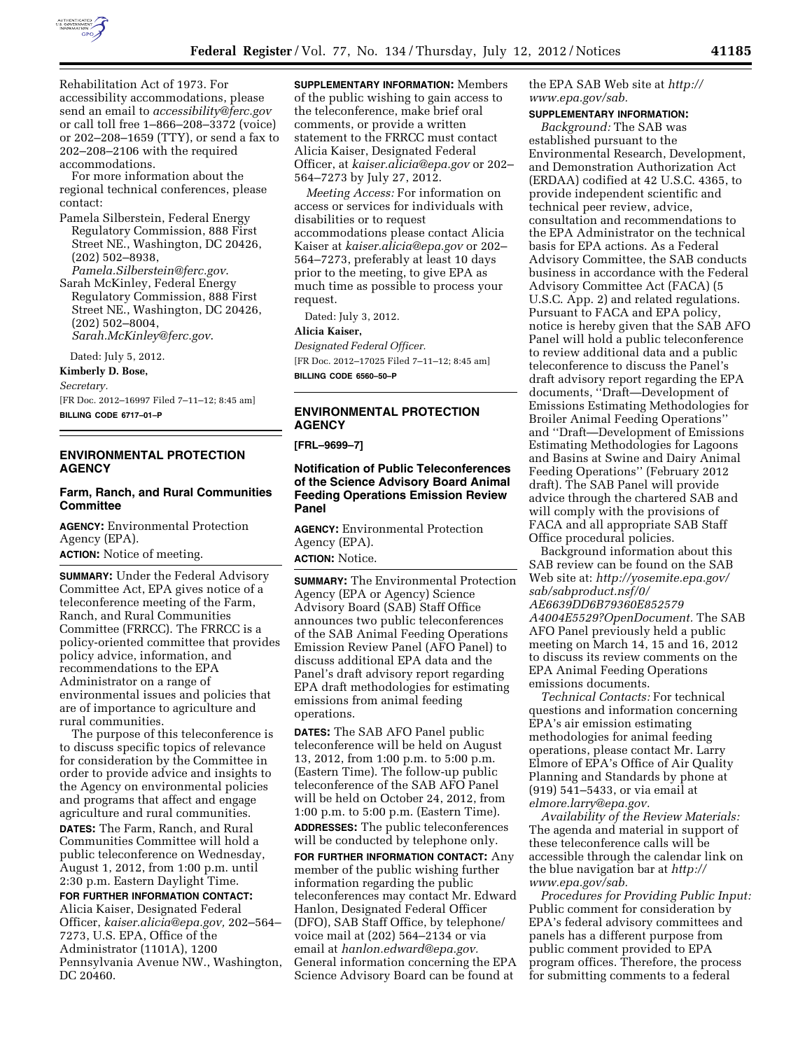

Rehabilitation Act of 1973. For accessibility accommodations, please send an email to *[accessibility@ferc.gov](mailto:accessibility@ferc.gov)*  or call toll free 1–866–208–3372 (voice) or 202–208–1659 (TTY), or send a fax to 202–208–2106 with the required accommodations.

For more information about the regional technical conferences, please contact:

- Pamela Silberstein, Federal Energy Regulatory Commission, 888 First Street NE., Washington, DC 20426, (202) 502–8938, *[Pamela.Silberstein@ferc.gov](mailto:Pamela.Silberstein@ferc.gov)*.
- Sarah McKinley, Federal Energy Regulatory Commission, 888 First Street NE., Washington, DC 20426, (202) 502–8004, *[Sarah.McKinley@ferc.gov](mailto:Sarah.McKinley@ferc.gov)*.

Dated: July 5, 2012.

**Kimberly D. Bose,** 

*Secretary.* 

[FR Doc. 2012–16997 Filed 7–11–12; 8:45 am] **BILLING CODE 6717–01–P** 

## **ENVIRONMENTAL PROTECTION AGENCY**

## **Farm, Ranch, and Rural Communities Committee**

**AGENCY:** Environmental Protection Agency (EPA). **ACTION:** Notice of meeting.

**SUMMARY:** Under the Federal Advisory Committee Act, EPA gives notice of a teleconference meeting of the Farm, Ranch, and Rural Communities Committee (FRRCC). The FRRCC is a policy-oriented committee that provides policy advice, information, and recommendations to the EPA Administrator on a range of environmental issues and policies that are of importance to agriculture and rural communities.

The purpose of this teleconference is to discuss specific topics of relevance for consideration by the Committee in order to provide advice and insights to the Agency on environmental policies and programs that affect and engage agriculture and rural communities. **DATES:** The Farm, Ranch, and Rural Communities Committee will hold a public teleconference on Wednesday, August 1, 2012, from 1:00 p.m. until 2:30 p.m. Eastern Daylight Time.

**FOR FURTHER INFORMATION CONTACT:**  Alicia Kaiser, Designated Federal Officer, *[kaiser.alicia@epa.gov,](mailto:kaiser.alicia@epa.gov)* 202–564– 7273, U.S. EPA, Office of the Administrator (1101A), 1200 Pennsylvania Avenue NW., Washington, DC 20460.

**SUPPLEMENTARY INFORMATION:** Members of the public wishing to gain access to the teleconference, make brief oral comments, or provide a written statement to the FRRCC must contact Alicia Kaiser, Designated Federal Officer, at *[kaiser.alicia@epa.gov](mailto:kaiser.alicia@epa.gov)* or 202– 564–7273 by July 27, 2012.

*Meeting Access:* For information on access or services for individuals with disabilities or to request accommodations please contact Alicia Kaiser at *[kaiser.alicia@epa.gov](mailto:kaiser.alicia@epa.gov)* or 202– 564–7273, preferably at least 10 days prior to the meeting, to give EPA as much time as possible to process your request.

Dated: July 3, 2012.

#### **Alicia Kaiser,**

*Designated Federal Officer.*  [FR Doc. 2012–17025 Filed 7–11–12; 8:45 am] **BILLING CODE 6560–50–P** 

# **ENVIRONMENTAL PROTECTION AGENCY**

**[FRL–9699–7]** 

#### **Notification of Public Teleconferences of the Science Advisory Board Animal Feeding Operations Emission Review Panel**

**AGENCY:** Environmental Protection Agency (EPA). **ACTION:** Notice.

**SUMMARY:** The Environmental Protection Agency (EPA or Agency) Science Advisory Board (SAB) Staff Office announces two public teleconferences of the SAB Animal Feeding Operations Emission Review Panel (AFO Panel) to discuss additional EPA data and the Panel's draft advisory report regarding EPA draft methodologies for estimating emissions from animal feeding operations.

**DATES:** The SAB AFO Panel public teleconference will be held on August 13, 2012, from 1:00 p.m. to 5:00 p.m. (Eastern Time). The follow-up public teleconference of the SAB AFO Panel will be held on October 24, 2012, from 1:00 p.m. to 5:00 p.m. (Eastern Time).

**ADDRESSES:** The public teleconferences will be conducted by telephone only.

**FOR FURTHER INFORMATION CONTACT:** Any member of the public wishing further information regarding the public teleconferences may contact Mr. Edward Hanlon, Designated Federal Officer (DFO), SAB Staff Office, by telephone/ voice mail at (202) 564–2134 or via email at *[hanlon.edward@epa.gov.](mailto:hanlon.edward@epa.gov)*  General information concerning the EPA Science Advisory Board can be found at

the EPA SAB Web site at *[http://](http://www.epa.gov/sab) [www.epa.gov/sab.](http://www.epa.gov/sab)* 

# **SUPPLEMENTARY INFORMATION:**

*Background:* The SAB was established pursuant to the Environmental Research, Development, and Demonstration Authorization Act (ERDAA) codified at 42 U.S.C. 4365, to provide independent scientific and technical peer review, advice, consultation and recommendations to the EPA Administrator on the technical basis for EPA actions. As a Federal Advisory Committee, the SAB conducts business in accordance with the Federal Advisory Committee Act (FACA) (5 U.S.C. App. 2) and related regulations. Pursuant to FACA and EPA policy, notice is hereby given that the SAB AFO Panel will hold a public teleconference to review additional data and a public teleconference to discuss the Panel's draft advisory report regarding the EPA documents, ''Draft—Development of Emissions Estimating Methodologies for Broiler Animal Feeding Operations'' and ''Draft—Development of Emissions Estimating Methodologies for Lagoons and Basins at Swine and Dairy Animal Feeding Operations'' (February 2012 draft). The SAB Panel will provide advice through the chartered SAB and will comply with the provisions of FACA and all appropriate SAB Staff Office procedural policies.

Background information about this SAB review can be found on the SAB Web site at: *[http://yosemite.epa.gov/](http://yosemite.epa.gov/sab/sabproduct.nsf/0/AE6639DD6B79360E852579A4004E5529?OpenDocument) [sab/sabproduct.nsf/0/](http://yosemite.epa.gov/sab/sabproduct.nsf/0/AE6639DD6B79360E852579A4004E5529?OpenDocument) [AE6639DD6B79360E852579](http://yosemite.epa.gov/sab/sabproduct.nsf/0/AE6639DD6B79360E852579A4004E5529?OpenDocument) [A4004E5529?OpenDocument.](http://yosemite.epa.gov/sab/sabproduct.nsf/0/AE6639DD6B79360E852579A4004E5529?OpenDocument)* The SAB AFO Panel previously held a public meeting on March 14, 15 and 16, 2012 to discuss its review comments on the EPA Animal Feeding Operations emissions documents.

*Technical Contacts:* For technical questions and information concerning EPA's air emission estimating methodologies for animal feeding operations, please contact Mr. Larry Elmore of EPA's Office of Air Quality Planning and Standards by phone at (919) 541–5433, or via email at *[elmore.larry@epa.gov.](mailto:elmore.larry@epa.gov)* 

*Availability of the Review Materials:*  The agenda and material in support of these teleconference calls will be accessible through the calendar link on the blue navigation bar at *[http://](http://www.epa.gov/sab)  [www.epa.gov/sab.](http://www.epa.gov/sab)* 

*Procedures for Providing Public Input:*  Public comment for consideration by EPA's federal advisory committees and panels has a different purpose from public comment provided to EPA program offices. Therefore, the process for submitting comments to a federal